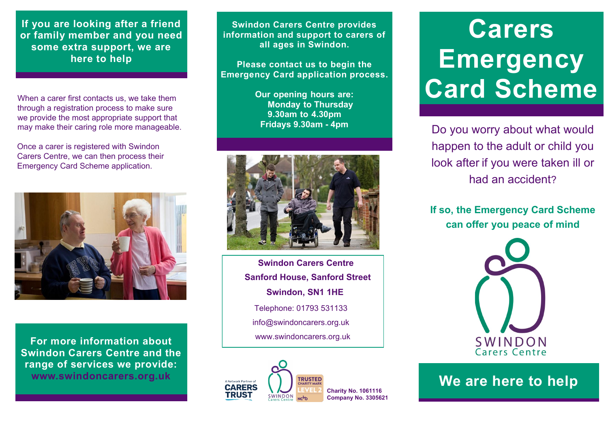**If you are looking after a friend or family member and you need some extra support, we are here to help**

When a carer first contacts us, we take them through a registration process to make sure we provide the most appropriate support that may make their caring role more manageable.

Once a carer is registered with Swindon Carers Centre, we can then process their Emergency Card Scheme application.



**For more information about Swindon Carers Centre and the range of services we provide:**

**Swindon Carers Centre provides information and support to carers of all ages in Swindon.**

**Please contact us to begin the Emergency Card application process.**

> **Our opening hours are: Monday to Thursday 9.30am to 4.30pm Fridays 9.30am - 4pm**



**Swindon Carers Centre Sanford House, Sanford Street Swindon, SN1 1HE**  www.swindoncarers.org.uk Telephone: 01793 531133 info@swindoncarers.org.uk



## **Carers Emergency Card Scheme**

Do you worry about what would happen to the adult or child you look after if you were taken ill or had an accident?

**If so, the Emergency Card Scheme can offer you peace of mind**